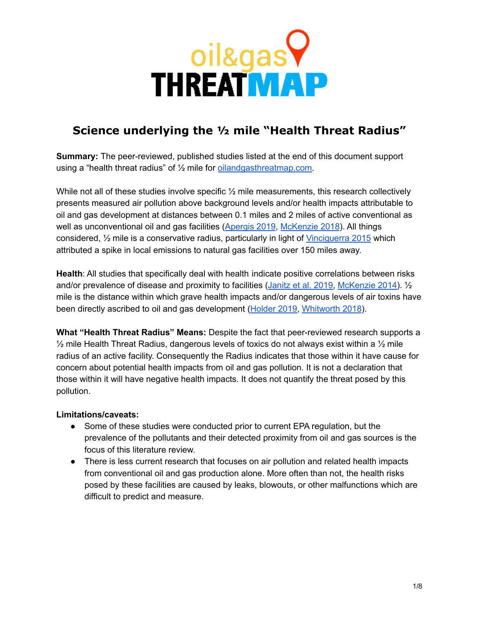## **Science underlying the ½ mile "Health Threat Radius"**

**Summary:** The peer-reviewed, published studies listed at the end of this document support using a "health threat radius" of 1/2 mile for [oilandgasthreatmap.com.](http://oilandgasthreatmap.com)

While not all of these studies involve specific  $\frac{1}{2}$  mile measurements, this research collectively presents measured air pollution above background levels and/or health impacts attributable to oil and gas development at distances between 0.1 miles and 2 miles of active conventional as well as unconventional oil and gas facilities ([Apergis](https://link.springer.com/article/10.1007/s11356-019-06478-z) 2019, [McKenzie](https://pubmed.ncbi.nlm.nih.gov/29584423/) 2018). All things considered, ½ mile is a conservative radius, particularly in light of [Vinciguerra](http://acmg.seas.harvard.edu/publications/aqast/articles/vinciguerra_etal_2015.pdf) 2015 which attributed a spike in local emissions to natural gas facilities over 150 miles away.

**Health**: All studies that specifically deal with health indicate positive correlations between risks and/or prevalence of disease and proximity to facilities ([Janitz](https://pubmed.ncbi.nlm.nih.gov/30551805/) et al. 2019, [McKenzie](https://ehp.niehs.nih.gov/doi/10.1289/ehp.1306722) 2014). ½ mile is the distance within which grave health impacts and/or dangerous levels of air toxins have been directly ascribed to oil and gas development [\(Holder](https://www.tandfonline.com/doi/full/10.1080/10962247.2019.1680459) 2019, [Whitworth](https://pubmed.ncbi.nlm.nih.gov/29578659/) 2018).

**What "Health Threat Radius" Means:** Despite the fact that peer-reviewed research supports a  $\frac{1}{2}$  mile Health Threat Radius, dangerous levels of toxics do not always exist within a  $\frac{1}{2}$  mile radius of an active facility. Consequently the Radius indicates that those within it have cause for concern about potential health impacts from oil and gas pollution. It is not a declaration that those within it will have negative health impacts. It does not quantify the threat posed by this pollution.

## **Limitations/caveats:**

- Some of these studies were conducted prior to current EPA regulation, but the prevalence of the pollutants and their detected proximity from oil and gas sources is the focus of this literature review.
- There is less current research that focuses on air pollution and related health impacts from conventional oil and gas production alone. More often than not, the health risks posed by these facilities are caused by leaks, blowouts, or other malfunctions which are difficult to predict and measure.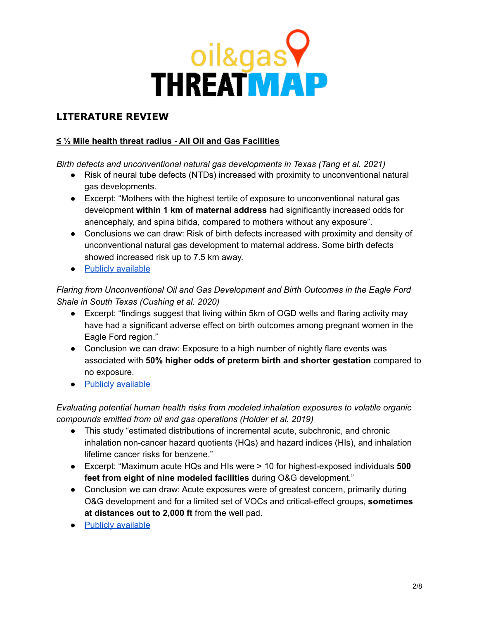## **LITERATURE REVIEW**

## **≤ ½ Mile health threat radius - All Oil and Gas Facilities**

*Birth defects and unconventional natural gas developments in Texas (Tang et al. 2021)*

- Risk of neural tube defects (NTDs) increased with proximity to unconventional natural gas developments.
- Excerpt: "Mothers with the highest tertile of exposure to unconventional natural gas development **within 1 km of maternal address** had significantly increased odds for anencephaly, and spina bifida, compared to mothers without any exposure".
- Conclusions we can draw: Risk of birth defects increased with proximity and density of unconventional natural gas development to maternal address. Some birth defects showed increased risk up to 7.5 km away.
- Publicly [available](https://pubmed.ncbi.nlm.nih.gov/33245885/)

*Flaring from Unconventional Oil and Gas Development and Birth Outcomes in the Eagle Ford Shale in South Texas (Cushing et al. 2020)*

- Excerpt: "findings suggest that living within 5km of OGD wells and flaring activity may have had a significant adverse effect on birth outcomes among pregnant women in the Eagle Ford region."
- Conclusion we can draw: Exposure to a high number of nightly flare events was associated with **50% higher odds of preterm birth and shorter gestation** compared to no exposure.
- Publicly [available](https://ehp.niehs.nih.gov/doi/10.1289/EHP6394)

*Evaluating potential human health risks from modeled inhalation exposures to volatile organic compounds emitted from oil and gas operations (Holder et al. 2019)*

- This study "estimated distributions of incremental acute, subchronic, and chronic inhalation non-cancer hazard quotients (HQs) and hazard indices (HIs), and inhalation lifetime cancer risks for benzene."
- Excerpt: "Maximum acute HQs and HIs were > 10 for highest-exposed individuals **500 feet from eight of nine modeled facilities** during O&G development."
- Conclusion we can draw: Acute exposures were of greatest concern, primarily during O&G development and for a limited set of VOCs and critical-effect groups, **sometimes at distances out to 2,000 ft** from the well pad.
- Publicly [available](https://www.tandfonline.com/doi/full/10.1080/10962247.2019.1680459)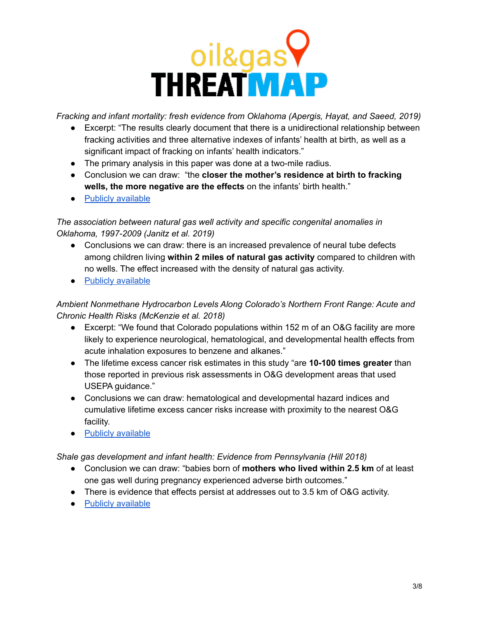*Fracking and infant mortality: fresh evidence from Oklahoma (Apergis, Hayat, and Saeed, 2019)*

- Excerpt: "The results clearly document that there is a unidirectional relationship between fracking activities and three alternative indexes of infants' health at birth, as well as a significant impact of fracking on infants' health indicators."
- The primary analysis in this paper was done at a two-mile radius.
- Conclusion we can draw: "the **closer the mother's residence at birth to fracking wells, the more negative are the effects** on the infants' birth health."
- Publicly [available](https://link.springer.com/article/10.1007/s11356-019-06478-z)

*The association between natural gas well activity and specific congenital anomalies in Oklahoma, 1997-2009 (Janitz et al. 2019)*

- Conclusions we can draw: there is an increased prevalence of neural tube defects among children living **within 2 miles of natural gas activity** compared to children with no wells. The effect increased with the density of natural gas activity.
- Publicly [available](https://pubmed.ncbi.nlm.nih.gov/30551805/)

*Ambient Nonmethane Hydrocarbon Levels Along Colorado's Northern Front Range: Acute and Chronic Health Risks (McKenzie et al. 2018)*

- Excerpt: "We found that Colorado populations within 152 m of an O&G facility are more likely to experience neurological, hematological, and developmental health effects from acute inhalation exposures to benzene and alkanes."
- The lifetime excess cancer risk estimates in this study "are **10-100 times greater** than those reported in previous risk assessments in O&G development areas that used USEPA guidance."
- Conclusions we can draw: hematological and developmental hazard indices and cumulative lifetime excess cancer risks increase with proximity to the nearest O&G facility.
- Publicly [available](https://pubmed.ncbi.nlm.nih.gov/29584423/)

*Shale gas development and infant health: Evidence from Pennsylvania (Hill 2018)*

- Conclusion we can draw: "babies born of **mothers who lived within 2.5 km** of at least one gas well during pregnancy experienced adverse birth outcomes."
- There is evidence that effects persist at addresses out to 3.5 km of O&G activity.
- Publicly [available](https://www.sciencedirect.com/science/article/abs/pii/S0167629617304174)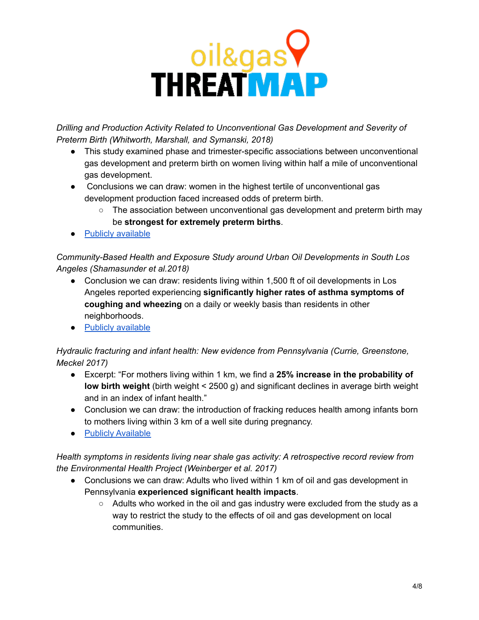

*Drilling and Production Activity Related to Unconventional Gas Development and Severity of Preterm Birth (Whitworth, Marshall, and Symanski, 2018)*

- This study examined phase and trimester-specific associations between unconventional gas development and preterm birth on women living within half a mile of unconventional gas development.
- Conclusions we can draw: women in the highest tertile of unconventional gas development production faced increased odds of preterm birth.
	- $\circ$  The association between unconventional gas development and preterm birth may be **strongest for extremely preterm births**.
- **Publicly [available](https://pubmed.ncbi.nlm.nih.gov/29578659/)**

*Community-Based Health and Exposure Study around Urban Oil Developments in South Los Angeles (Shamasunder et al.2018)*

- Conclusion we can draw: residents living within 1,500 ft of oil developments in Los Angeles reported experiencing **significantly higher rates of asthma symptoms of coughing and wheezing** on a daily or weekly basis than residents in other neighborhoods.
- Publicly [available](https://pubmed.ncbi.nlm.nih.gov/29342985/)

*Hydraulic fracturing and infant health: New evidence from Pennsylvania (Currie, Greenstone, Meckel 2017)*

- Excerpt: "For mothers living within 1 km, we find a **25% increase in the probability of low birth weight** (birth weight < 2500 g) and significant declines in average birth weight and in an index of infant health."
- Conclusion we can draw: the introduction of fracking reduces health among infants born to mothers living within 3 km of a well site during pregnancy.
- Publicly [Available](https://www.science.org/doi/10.1126/sciadv.1603021#:~:text=The%20results%20of%20our%20analysis,a%20well%20site%20during%20pregnancy.&text=There%20is%20little%20evidence%20of,health%20impacts%20are%20highly%20local.)

*Health symptoms in residents living near shale gas activity: A retrospective record review from the Environmental Health Project (Weinberger et al. 2017)*

- Conclusions we can draw: Adults who lived within 1 km of oil and gas development in Pennsylvania **experienced significant health impacts**.
	- Adults who worked in the oil and gas industry were excluded from the study as a way to restrict the study to the effects of oil and gas development on local communities.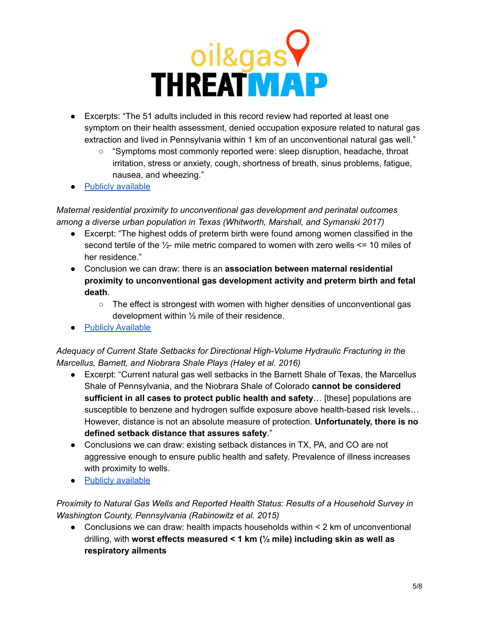

- Excerpts: "The 51 adults included in this record review had reported at least one symptom on their health assessment, denied occupation exposure related to natural gas extraction and lived in Pennsylvania within 1 km of an unconventional natural gas well."
	- "Symptoms most commonly reported were: sleep disruption, headache, throat irritation, stress or anxiety, cough, shortness of breath, sinus problems, fatigue, nausea, and wheezing."
- Publicly [available](https://pubmed.ncbi.nlm.nih.gov/29021947/)

*Maternal residential proximity to unconventional gas development and perinatal outcomes among a diverse urban population in Texas (Whitworth, Marshall, and Symanski 2017)*

- Excerpt: "The highest odds of preterm birth were found among women classified in the second tertile of the ½- mile metric compared to women with zero wells <= 10 miles of her residence."
- Conclusion we can draw: there is an **association between maternal residential proximity to unconventional gas development activity and preterm birth and fetal death**.
	- $\circ$  The effect is strongest with women with higher densities of unconventional gas development within ½ mile of their residence.
- Publicly [Available](https://pubmed.ncbi.nlm.nih.gov/28732016/)

*Adequacy of Current State Setbacks for Directional High-Volume Hydraulic Fracturing in the Marcellus, Barnett, and Niobrara Shale Plays (Haley et al. 2016)*

- Excerpt: "Current natural gas well setbacks in the Barnett Shale of Texas, the Marcellus Shale of Pennsylvania, and the Niobrara Shale of Colorado **cannot be considered sufficient in all cases to protect public health and safety**… [these] populations are susceptible to benzene and hydrogen sulfide exposure above health-based risk levels… However, distance is not an absolute measure of protection. **Unfortunately, there is no defined setback distance that assures safety**."
- Conclusions we can draw: existing setback distances in TX, PA, and CO are not aggressive enough to ensure public health and safety. Prevalence of illness increases with proximity to wells.
- Publicly [available](https://www.ncbi.nlm.nih.gov/pmc/articles/PMC5010420/)

*Proximity to Natural Gas Wells and Reported Health Status: Results of a Household Survey in Washington County, Pennsylvania (Rabinowitz et al. 2015)*

• Conclusions we can draw: health impacts households within  $\leq$  2 km of unconventional drilling, with **worst effects measured < 1 km (½ mile) including skin as well as respiratory ailments**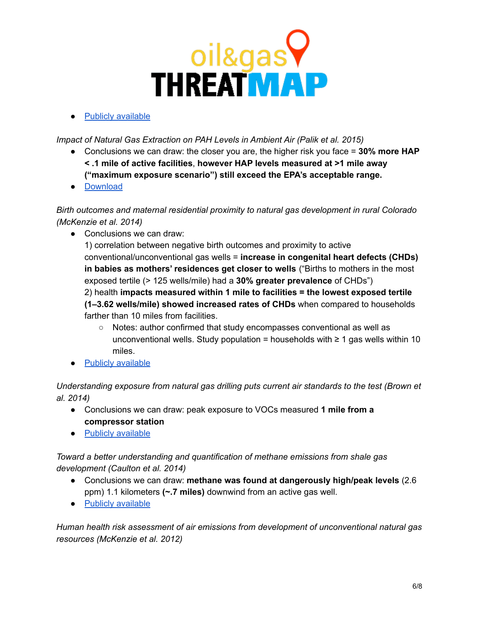● Publicly [available](https://www.ncbi.nlm.nih.gov/pmc/articles/PMC4286272/)

*Impact of Natural Gas Extraction on PAH Levels in Ambient Air (Palik et al. 2015)*

- Conclusions we can draw: the closer you are, the higher risk you face = **30% more HAP < .1 mile of active facilities**, **however HAP levels measured at >1 mile away ("maximum exposure scenario") still exceed the EPA's acceptable range.**
- [Download](https://www.dropbox.com/s/xr9dd3q9uvileoo/Haynes%202015%20-%20Impact%20of%20Natural%20Gas%20Extraction%20on%20PAH%20Levels%20in%20Ambient%20Air.pdf?dl=0)

*Birth outcomes and maternal residential proximity to natural gas development in rural Colorado (McKenzie et al. 2014)*

● Conclusions we can draw:

1) correlation between negative birth outcomes and proximity to active conventional/unconventional gas wells = **increase in congenital heart defects (CHDs) in babies as mothers' residences get closer to wells** ("Births to mothers in the most exposed tertile (> 125 wells/mile) had a **30% greater prevalence** of CHDs")

2) health **impacts measured within 1 mile to facilities = the lowest exposed tertile (1–3.62 wells/mile) showed increased rates of CHDs** when compared to households farther than 10 miles from facilities.

- Notes: author confirmed that study encompasses conventional as well as unconventional wells. Study population = households with  $≥$  1 gas wells within 10 miles.
- Publicly [available](http://ehp.niehs.nih.gov/1306722/)

*Understanding exposure from natural gas drilling puts current air standards to the test (Brown et al. 2014)*

- Conclusions we can draw: peak exposure to VOCs measured **1 mile from a compressor station**
- Publicly [available](http://www.degruyter.com/view/j/reveh.2014.29.issue-4/reveh-2014-0002/reveh-2014-0002.xml)

*Toward a better understanding and quantification of methane emissions from shale gas development (Caulton et al. 2014)*

- Conclusions we can draw: **methane was found at dangerously high/peak levels** (2.6 ppm) 1.1 kilometers **(~.7 miles)** downwind from an active gas well.
- Publicly [available](http://www.pnas.org/content/111/17/6237.full.pdf?with-ds=yes)

*Human health risk assessment of air emissions from development of unconventional natural gas resources (McKenzie et al. 2012)*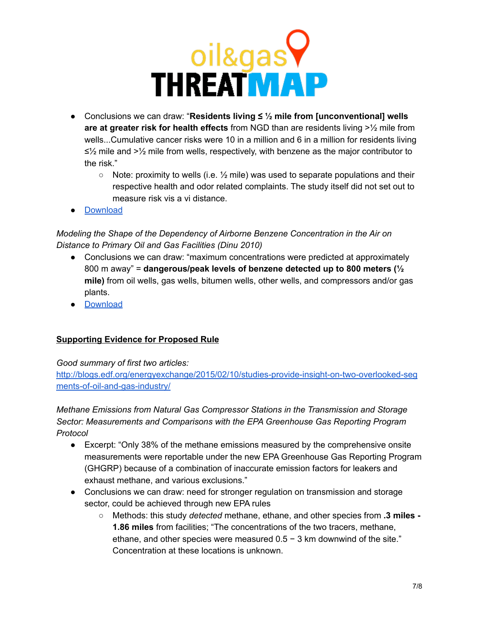

- Conclusions we can draw: "**Residents living ≤ ½ mile from [unconventional] wells are at greater risk for health effects** from NGD than are residents living >½ mile from wells...Cumulative cancer risks were 10 in a million and 6 in a million for residents living ≤½ mile and >½ mile from wells, respectively, with benzene as the major contributor to the risk."
	- $\circ$  Note: proximity to wells (i.e.  $\frac{1}{2}$  mile) was used to separate populations and their respective health and odor related complaints. The study itself did not set out to measure risk vis a vi distance.
- [Download](https://www.dropbox.com/s/ab2yshi7ujdxbqa/McKenzie%202012%20-%20Human%20health%20risk%20assessment%20of%20air%20emissions%20from%20development%20of%20unconventional%20natural%20gas%20resources.pdf?dl=0)

*Modeling the Shape of the Dependency of Airborne Benzene Concentration in the Air on Distance to Primary Oil and Gas Facilities (Dinu 2010)*

- Conclusions we can draw: "maximum concentrations were predicted at approximately 800 m away" = **dangerous/peak levels of benzene detected up to 800 meters (½ mile)** from oil wells, gas wells, bitumen wells, other wells, and compressors and/or gas plants.
- [Download](https://www.dropbox.com/s/7z1llxslwypzs4k/Dinu%202010%20-%20ModelingBenzeneNGas.pdf?dl=0)

## **Supporting Evidence for Proposed Rule**

## *Good summary of first two articles:*

[http://blogs.edf.org/energyexchange/2015/02/10/studies-provide-insight-on-two-overlooked-seg](http://blogs.edf.org/energyexchange/2015/02/10/studies-provide-insight-on-two-overlooked-segments-of-oil-and-gas-industry/) [ments-of-oil-and-gas-industry/](http://blogs.edf.org/energyexchange/2015/02/10/studies-provide-insight-on-two-overlooked-segments-of-oil-and-gas-industry/)

*Methane Emissions from Natural Gas Compressor Stations in the Transmission and Storage Sector: Measurements and Comparisons with the EPA Greenhouse Gas Reporting Program Protocol*

- Excerpt: "Only 38% of the methane emissions measured by the comprehensive onsite measurements were reportable under the new EPA Greenhouse Gas Reporting Program (GHGRP) because of a combination of inaccurate emission factors for leakers and exhaust methane, and various exclusions."
- Conclusions we can draw: need for stronger regulation on transmission and storage sector, could be achieved through new EPA rules
	- Methods: this study *detected* methane, ethane, and other species from **.3 miles - 1.86 miles** from facilities; "The concentrations of the two tracers, methane, ethane, and other species were measured 0.5 − 3 km downwind of the site." Concentration at these locations is unknown.